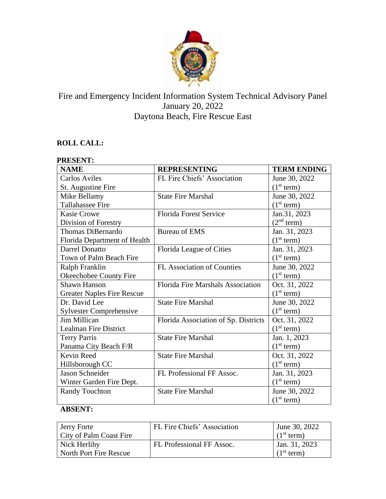

# Fire and Emergency Incident Information System Technical Advisory Panel January 20, 2022 Daytona Beach, Fire Rescue East

## **ROLL CALL:**

| <b>PRESENT:</b>                   |                                      |                        |  |
|-----------------------------------|--------------------------------------|------------------------|--|
| <b>NAME</b>                       | <b>REPRESENTING</b>                  | <b>TERM ENDING</b>     |  |
| <b>Carlos Aviles</b>              | FL Fire Chiefs' Association          | June 30, 2022          |  |
| St. Augustine Fire                |                                      | (1 <sup>st</sup> term) |  |
| Mike Bellamy                      | <b>State Fire Marshal</b>            | June 30, 2022          |  |
| <b>Tallahassee Fire</b>           |                                      | (1 <sup>st</sup> term) |  |
| Kasie Crowe                       | <b>Florida Forest Service</b>        | Jan.31, 2023           |  |
| Division of Forestry              |                                      | (2 <sup>nd</sup> term) |  |
| Thomas DiBernardo                 | <b>Bureau of EMS</b>                 | Jan. 31, 2023          |  |
| Florida Department of Health      |                                      | (1 <sup>st</sup> term) |  |
| Darrel Donatto                    | Florida League of Cities             | Jan. 31, 2023          |  |
| Town of Palm Beach Fire           |                                      | (1 <sup>st</sup> term) |  |
| Ralph Franklin                    | FL Association of Counties           | June 30, 2022          |  |
| Okeechobee County Fire            |                                      | (1 <sup>st</sup> term) |  |
| <b>Shawn Hanson</b>               | Florida Fire Marshals Association    | Oct. 31, 2022          |  |
| <b>Greater Naples Fire Rescue</b> |                                      | (1 <sup>st</sup> term) |  |
| Dr. David Lee                     | <b>State Fire Marshal</b>            | June 30, 2022          |  |
| <b>Sylvester Comprehensive</b>    |                                      | (1 <sup>st</sup> term) |  |
| Jim Millican                      | Florida Association of Sp. Districts | Oct. 31, 2022          |  |
| <b>Lealman Fire District</b>      |                                      | (1 <sup>st</sup> term) |  |
| <b>Terry Parris</b>               | <b>State Fire Marshal</b>            | Jan. 1, 2023           |  |
| Panama City Beach F/R             |                                      | (1 <sup>st</sup> term) |  |
| Kevin Reed                        | <b>State Fire Marshal</b>            | Oct. 31, 2022          |  |
| Hillsborough CC                   |                                      | (1 <sup>st</sup> term) |  |
| Jason Schneider                   | FL Professional FF Assoc.            | Jan. 31, 2023          |  |
| Winter Garden Fire Dept.          |                                      | (1 <sup>st</sup> term) |  |
| <b>Randy Touchton</b>             | <b>State Fire Marshal</b>            | June 30, 2022          |  |
|                                   |                                      | (1 <sup>st</sup> term) |  |

## **ABSENT:**

| Jerry Forte<br>City of Palm Coast Fire | FL Fire Chiefs' Association | June 30, 2022<br>(1 <sup>st</sup> term) |
|----------------------------------------|-----------------------------|-----------------------------------------|
| Nick Herlihy<br>North Port Fire Rescue | FL Professional FF Assoc.   | Jan. 31, 2023<br>(1 <sup>st</sup> term) |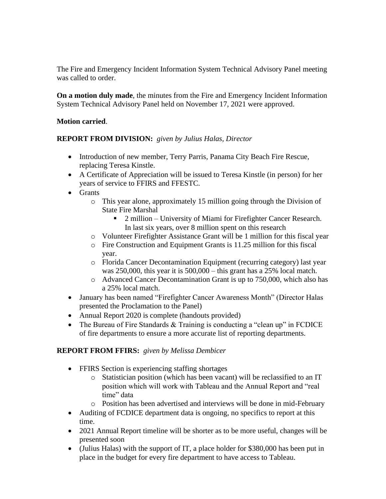The Fire and Emergency Incident Information System Technical Advisory Panel meeting was called to order.

**On a motion duly made**, the minutes from the Fire and Emergency Incident Information System Technical Advisory Panel held on November 17, 2021 were approved.

## **Motion carried**.

**REPORT FROM DIVISION:** *given by Julius Halas, Director*

- Introduction of new member, Terry Parris, Panama City Beach Fire Rescue, replacing Teresa Kinstle.
- A Certificate of Appreciation will be issued to Teresa Kinstle (in person) for her years of service to FFIRS and FFESTC.
- Grants
	- o This year alone, approximately 15 million going through the Division of State Fire Marshal
		- 2 million University of Miami for Firefighter Cancer Research. In last six years, over 8 million spent on this research
	- o Volunteer Firefighter Assistance Grant will be 1 million for this fiscal year
	- o Fire Construction and Equipment Grants is 11.25 million for this fiscal year.
	- o Florida Cancer Decontamination Equipment (recurring category) last year was 250,000, this year it is 500,000 – this grant has a 25% local match.
	- o Advanced Cancer Decontamination Grant is up to 750,000, which also has a 25% local match.
- January has been named "Firefighter Cancer Awareness Month" (Director Halas presented the Proclamation to the Panel)
- Annual Report 2020 is complete (handouts provided)
- The Bureau of Fire Standards & Training is conducting a "clean up" in FCDICE of fire departments to ensure a more accurate list of reporting departments.

## **REPORT FROM FFIRS:** *given by Melissa Dembicer*

- FFIRS Section is experiencing staffing shortages
	- o Statistician position (which has been vacant) will be reclassified to an IT position which will work with Tableau and the Annual Report and "real time" data
	- o Position has been advertised and interviews will be done in mid-February
- Auditing of FCDICE department data is ongoing, no specifics to report at this time.
- 2021 Annual Report timeline will be shorter as to be more useful, changes will be presented soon
- (Julius Halas) with the support of IT, a place holder for \$380,000 has been put in place in the budget for every fire department to have access to Tableau.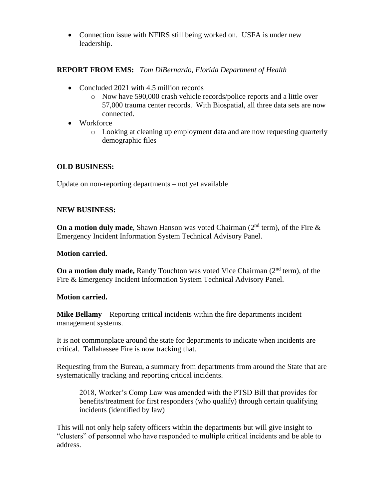• Connection issue with NFIRS still being worked on. USFA is under new leadership.

## **REPORT FROM EMS:** *Tom DiBernardo, Florida Department of Health*

- Concluded 2021 with 4.5 million records
	- o Now have 590,000 crash vehicle records/police reports and a little over 57,000 trauma center records. With Biospatial, all three data sets are now connected.
- Workforce
	- o Looking at cleaning up employment data and are now requesting quarterly demographic files

#### **OLD BUSINESS:**

Update on non-reporting departments – not yet available

#### **NEW BUSINESS:**

**On a motion duly made**, Shawn Hanson was voted Chairman  $(2^{nd}$  term), of the Fire  $\&$ Emergency Incident Information System Technical Advisory Panel.

#### **Motion carried**.

**On a motion duly made,** Randy Touchton was voted Vice Chairman (2<sup>nd</sup> term), of the Fire & Emergency Incident Information System Technical Advisory Panel.

#### **Motion carried.**

**Mike Bellamy** – Reporting critical incidents within the fire departments incident management systems.

It is not commonplace around the state for departments to indicate when incidents are critical. Tallahassee Fire is now tracking that.

Requesting from the Bureau, a summary from departments from around the State that are systematically tracking and reporting critical incidents.

2018, Worker's Comp Law was amended with the PTSD Bill that provides for benefits/treatment for first responders (who qualify) through certain qualifying incidents (identified by law)

This will not only help safety officers within the departments but will give insight to "clusters" of personnel who have responded to multiple critical incidents and be able to address.